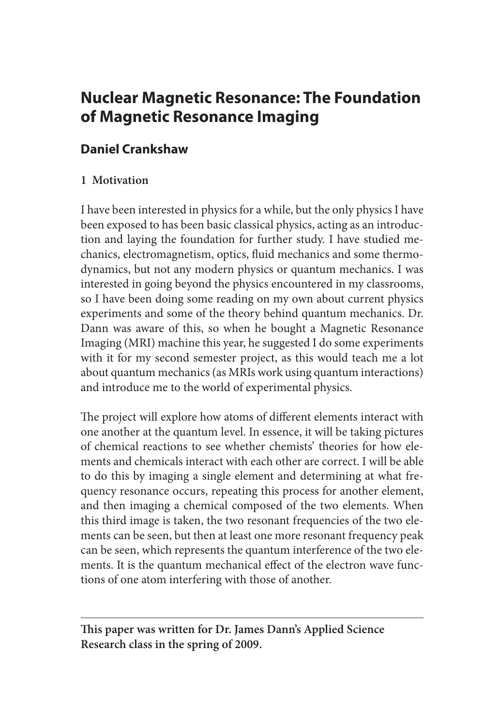# **Nuclear Magnetic Resonance: The Foundation of Magnetic Resonance Imaging**

# **Daniel Crankshaw**

## **1 Motivation**

I have been interested in physics for a while, but the only physics I have been exposed to has been basic classical physics, acting as an introduction and laying the foundation for further study. I have studied mechanics, electromagnetism, optics, fluid mechanics and some thermodynamics, but not any modern physics or quantum mechanics. I was interested in going beyond the physics encountered in my classrooms, so I have been doing some reading on my own about current physics experiments and some of the theory behind quantum mechanics. Dr. Dann was aware of this, so when he bought a Magnetic Resonance Imaging (MRI) machine this year, he suggested I do some experiments with it for my second semester project, as this would teach me a lot about quantum mechanics (as MRIs work using quantum interactions) and introduce me to the world of experimental physics.

The project will explore how atoms of different elements interact with one another at the quantum level. In essence, it will be taking pictures of chemical reactions to see whether chemists' theories for how elements and chemicals interact with each other are correct. I will be able to do this by imaging a single element and determining at what frequency resonance occurs, repeating this process for another element, and then imaging a chemical composed of the two elements. When this third image is taken, the two resonant frequencies of the two elements can be seen, but then at least one more resonant frequency peak can be seen, which represents the quantum interference of the two elements. It is the quantum mechanical effect of the electron wave functions of one atom interfering with those of another.

**This paper was written for Dr. James Dann's Applied Science Research class in the spring of 2009.**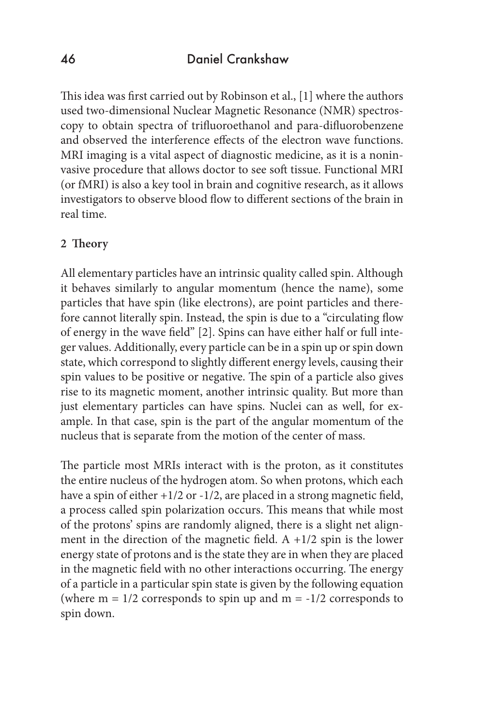This idea was first carried out by Robinson et al., [1] where the authors used two-dimensional Nuclear Magnetic Resonance (NMR) spectroscopy to obtain spectra of trifluoroethanol and para-difluorobenzene and observed the interference effects of the electron wave functions. MRI imaging is a vital aspect of diagnostic medicine, as it is a noninvasive procedure that allows doctor to see soft tissue. Functional MRI (or fMRI) is also a key tool in brain and cognitive research, as it allows investigators to observe blood flow to different sections of the brain in real time.

### **2 Theory**

All elementary particles have an intrinsic quality called spin. Although it behaves similarly to angular momentum (hence the name), some particles that have spin (like electrons), are point particles and therefore cannot literally spin. Instead, the spin is due to a "circulating flow of energy in the wave field" [2]. Spins can have either half or full integer values. Additionally, every particle can be in a spin up or spin down state, which correspond to slightly different energy levels, causing their spin values to be positive or negative. The spin of a particle also gives rise to its magnetic moment, another intrinsic quality. But more than just elementary particles can have spins. Nuclei can as well, for example. In that case, spin is the part of the angular momentum of the nucleus that is separate from the motion of the center of mass.

The particle most MRIs interact with is the proton, as it constitutes the entire nucleus of the hydrogen atom. So when protons, which each have a spin of either +1/2 or -1/2, are placed in a strong magnetic field, a process called spin polarization occurs. This means that while most of the protons' spins are randomly aligned, there is a slight net alignment in the direction of the magnetic field. A  $+1/2$  spin is the lower energy state of protons and is the state they are in when they are placed in the magnetic field with no other interactions occurring. The energy of a particle in a particular spin state is given by the following equation (where  $m = 1/2$  corresponds to spin up and  $m = -1/2$  corresponds to spin down.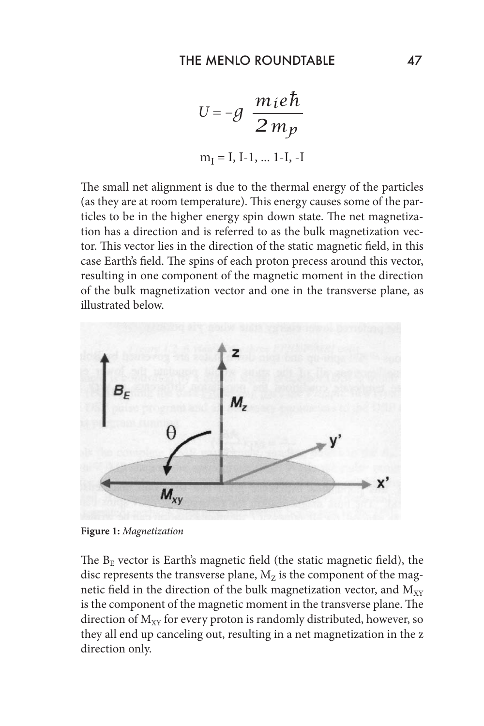$$
U = -g \frac{m_i e \hbar}{2 m_p}
$$
  
m<sub>I</sub> = I, I-1, ... I-I, -I

The small net alignment is due to the thermal energy of the particles (as they are at room temperature). This energy causes some of the particles to be in the higher energy spin down state. The net magnetization has a direction and is referred to as the bulk magnetization vector. This vector lies in the direction of the static magnetic field, in this case Earth's field. The spins of each proton precess around this vector, resulting in one component of the magnetic moment in the direction of the bulk magnetization vector and one in the transverse plane, as illustrated below.



**Figure 1:** *Magnetization*

The  $B<sub>E</sub>$  vector is Earth's magnetic field (the static magnetic field), the disc represents the transverse plane,  $M_z$  is the component of the magnetic field in the direction of the bulk magnetization vector, and  $M_{XY}$ is the component of the magnetic moment in the transverse plane. The direction of  $M_{XY}$  for every proton is randomly distributed, however, so they all end up canceling out, resulting in a net magnetization in the z direction only.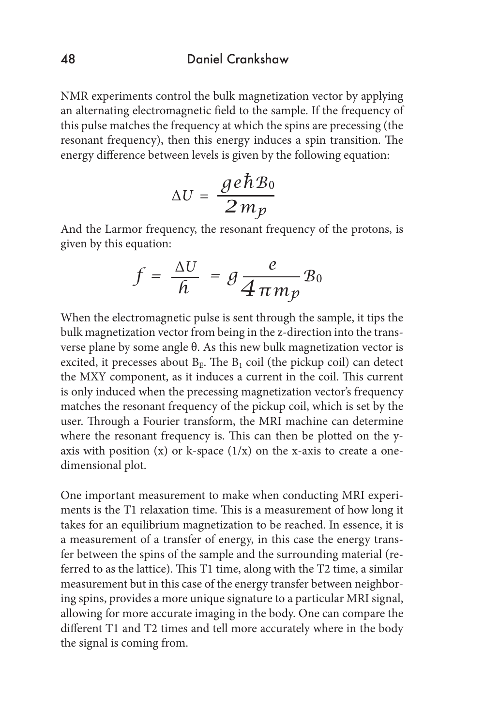NMR experiments control the bulk magnetization vector by applying an alternating electromagnetic field to the sample. If the frequency of this pulse matches the frequency at which the spins are precessing (the resonant frequency), then this energy induces a spin transition. The energy difference between levels is given by the following equation:

$$
\Delta U = \frac{ge\hbar B_0}{2\,m_p}
$$

And the Larmor frequency, the resonant frequency of the protons, is given by this equation:

$$
f = \frac{\Delta U}{h} = g \frac{e}{4 \pi m_p} B_0
$$

When the electromagnetic pulse is sent through the sample, it tips the bulk magnetization vector from being in the z-direction into the transverse plane by some angle θ. As this new bulk magnetization vector is excited, it precesses about  $B<sub>E</sub>$ . The  $B<sub>1</sub>$  coil (the pickup coil) can detect the MXY component, as it induces a current in the coil. This current is only induced when the precessing magnetization vector's frequency matches the resonant frequency of the pickup coil, which is set by the user. Through a Fourier transform, the MRI machine can determine where the resonant frequency is. This can then be plotted on the yaxis with position  $(x)$  or k-space  $(1/x)$  on the x-axis to create a onedimensional plot.

One important measurement to make when conducting MRI experiments is the T1 relaxation time. This is a measurement of how long it takes for an equilibrium magnetization to be reached. In essence, it is a measurement of a transfer of energy, in this case the energy transfer between the spins of the sample and the surrounding material (referred to as the lattice). This T1 time, along with the T2 time, a similar measurement but in this case of the energy transfer between neighboring spins, provides a more unique signature to a particular MRI signal, allowing for more accurate imaging in the body. One can compare the different T1 and T2 times and tell more accurately where in the body the signal is coming from.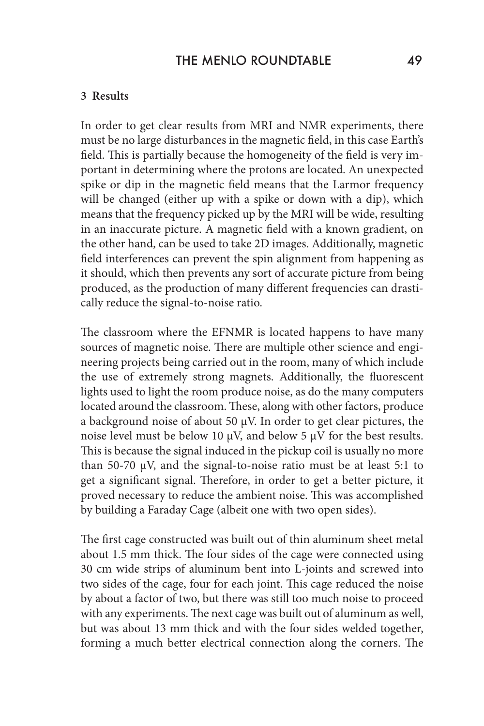#### **3 Results**

In order to get clear results from MRI and NMR experiments, there must be no large disturbances in the magnetic field, in this case Earth's field. This is partially because the homogeneity of the field is very important in determining where the protons are located. An unexpected spike or dip in the magnetic field means that the Larmor frequency will be changed (either up with a spike or down with a dip), which means that the frequency picked up by the MRI will be wide, resulting in an inaccurate picture. A magnetic field with a known gradient, on the other hand, can be used to take 2D images. Additionally, magnetic field interferences can prevent the spin alignment from happening as it should, which then prevents any sort of accurate picture from being produced, as the production of many different frequencies can drastically reduce the signal-to-noise ratio.

The classroom where the EFNMR is located happens to have many sources of magnetic noise. There are multiple other science and engineering projects being carried out in the room, many of which include the use of extremely strong magnets. Additionally, the fluorescent lights used to light the room produce noise, as do the many computers located around the classroom. These, along with other factors, produce a background noise of about 50 μV. In order to get clear pictures, the noise level must be below 10 μV, and below 5 μV for the best results. This is because the signal induced in the pickup coil is usually no more than 50-70 μV, and the signal-to-noise ratio must be at least 5:1 to get a significant signal. Therefore, in order to get a better picture, it proved necessary to reduce the ambient noise. This was accomplished by building a Faraday Cage (albeit one with two open sides).

The first cage constructed was built out of thin aluminum sheet metal about 1.5 mm thick. The four sides of the cage were connected using 30 cm wide strips of aluminum bent into L-joints and screwed into two sides of the cage, four for each joint. This cage reduced the noise by about a factor of two, but there was still too much noise to proceed with any experiments. The next cage was built out of aluminum as well, but was about 13 mm thick and with the four sides welded together, forming a much better electrical connection along the corners. The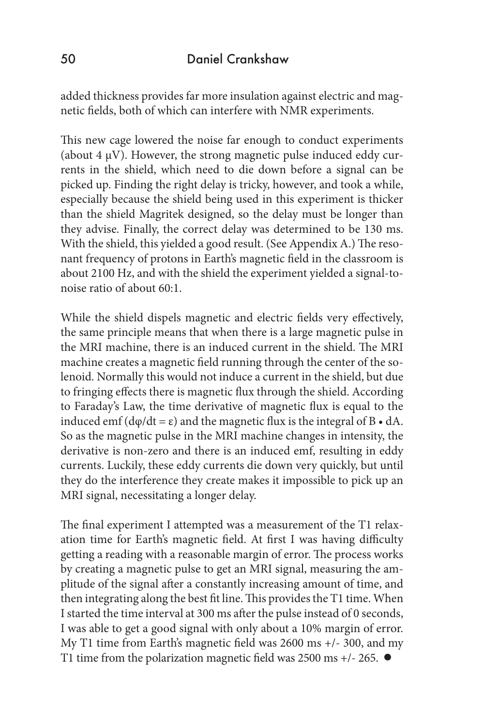added thickness provides far more insulation against electric and magnetic fields, both of which can interfere with NMR experiments.

This new cage lowered the noise far enough to conduct experiments (about 4 μV). However, the strong magnetic pulse induced eddy currents in the shield, which need to die down before a signal can be picked up. Finding the right delay is tricky, however, and took a while, especially because the shield being used in this experiment is thicker than the shield Magritek designed, so the delay must be longer than they advise. Finally, the correct delay was determined to be 130 ms. With the shield, this yielded a good result. (See Appendix A.) The resonant frequency of protons in Earth's magnetic field in the classroom is about 2100 Hz, and with the shield the experiment yielded a signal-tonoise ratio of about 60:1.

While the shield dispels magnetic and electric fields very effectively, the same principle means that when there is a large magnetic pulse in the MRI machine, there is an induced current in the shield. The MRI machine creates a magnetic field running through the center of the solenoid. Normally this would not induce a current in the shield, but due to fringing effects there is magnetic flux through the shield. According to Faraday's Law, the time derivative of magnetic flux is equal to the induced emf  $(d\varphi/dt = \varepsilon)$  and the magnetic flux is the integral of B  $\bullet$  dA. So as the magnetic pulse in the MRI machine changes in intensity, the derivative is non-zero and there is an induced emf, resulting in eddy currents. Luckily, these eddy currents die down very quickly, but until they do the interference they create makes it impossible to pick up an MRI signal, necessitating a longer delay.

The final experiment I attempted was a measurement of the T1 relaxation time for Earth's magnetic field. At first I was having difficulty getting a reading with a reasonable margin of error. The process works by creating a magnetic pulse to get an MRI signal, measuring the amplitude of the signal after a constantly increasing amount of time, and then integrating along the best fit line. This provides the T1 time. When I started the time interval at 300 ms after the pulse instead of 0 seconds, I was able to get a good signal with only about a 10% margin of error. My T1 time from Earth's magnetic field was 2600 ms +/- 300, and my T1 time from the polarization magnetic field was 2500 ms  $+/- 265$ .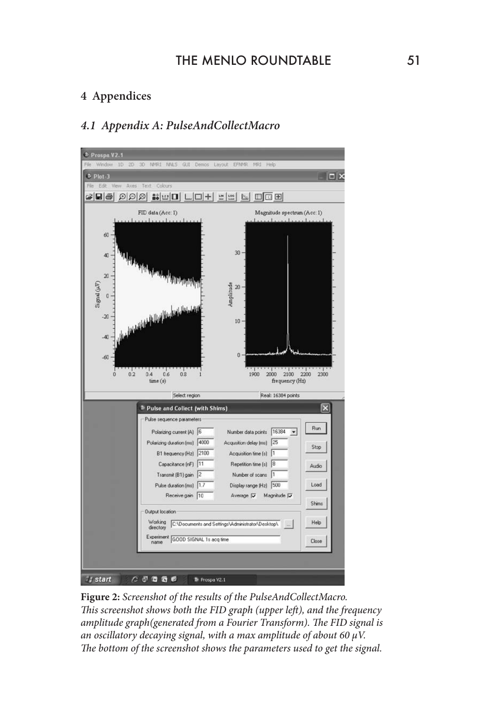### **4 Appendices**

### *4.1 Appendix A: PulseAndCollectMacro*



**Figure 2:** *Screenshot of the results of the PulseAndCollectMacro. This screenshot shows both the FID graph (upper left), and the frequency amplitude graph(generated from a Fourier Transform). The FID signal is an oscillatory decaying signal, with a max amplitude of about 60 μV. The bottom of the screenshot shows the parameters used to get the signal.*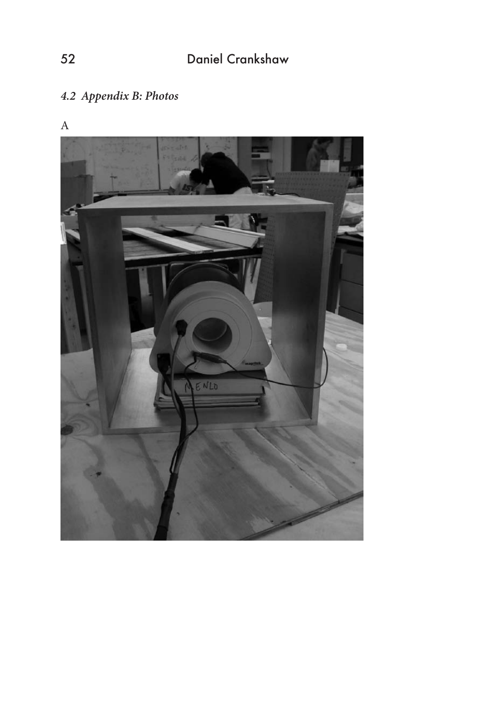# *4.2 Appendix B: Photos*



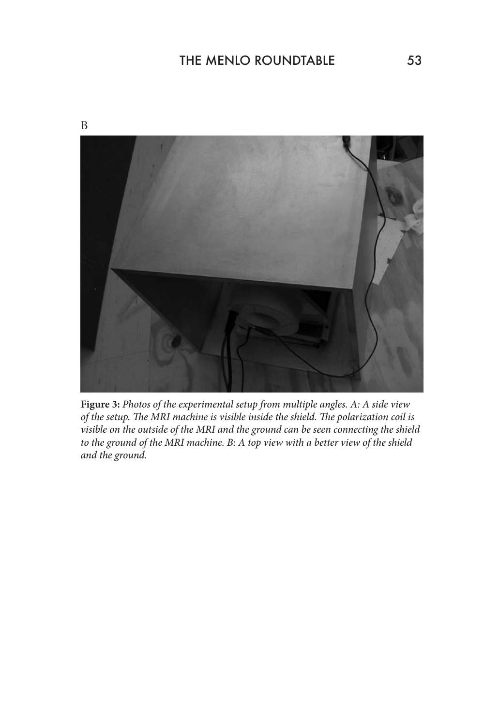



**Figure 3:** *Photos of the experimental setup from multiple angles. A: A side view of the setup. The MRI machine is visible inside the shield. The polarization coil is visible on the outside of the MRI and the ground can be seen connecting the shield to the ground of the MRI machine. B: A top view with a better view of the shield and the ground.*